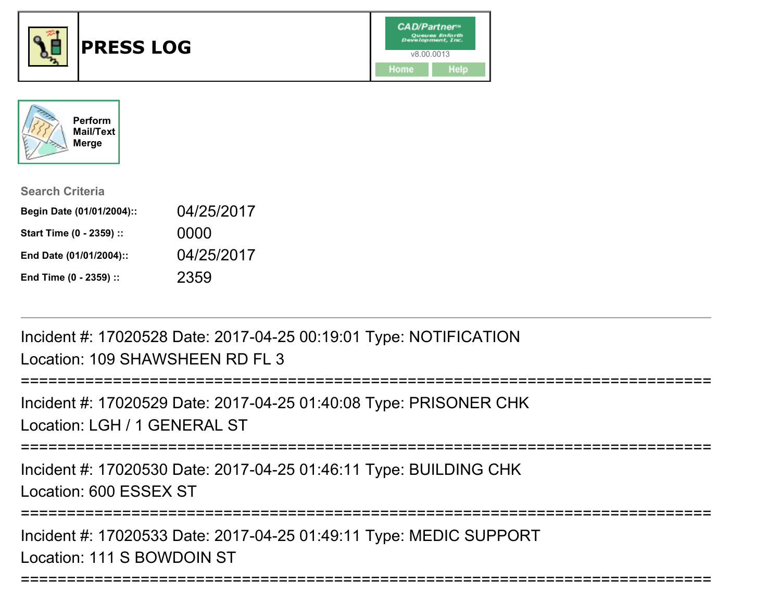



| <b>Search Criteria</b>    |            |
|---------------------------|------------|
| Begin Date (01/01/2004):: | 04/25/2017 |
| Start Time (0 - 2359) ::  | 0000       |
| End Date (01/01/2004)::   | 04/25/2017 |
| End Time (0 - 2359) ::    | 2359       |

Incident #: 17020528 Date: 2017-04-25 00:19:01 Type: NOTIFICATIONLocation: 109 SHAWSHEEN RD FL 3

```
===========================================================================Incident #: 17020529 Date: 2017-04-25 01:40:08 Type: PRISONER CHKLocation: LGH / 1 GENERAL ST
```
===========================================================================

Incident #: 17020530 Date: 2017-04-25 01:46:11 Type: BUILDING CHKLocation: 600 ESSEX ST

===========================================================================

===========================================================================

Incident #: 17020533 Date: 2017-04-25 01:49:11 Type: MEDIC SUPPORTLocation: 111 S BOWDOIN ST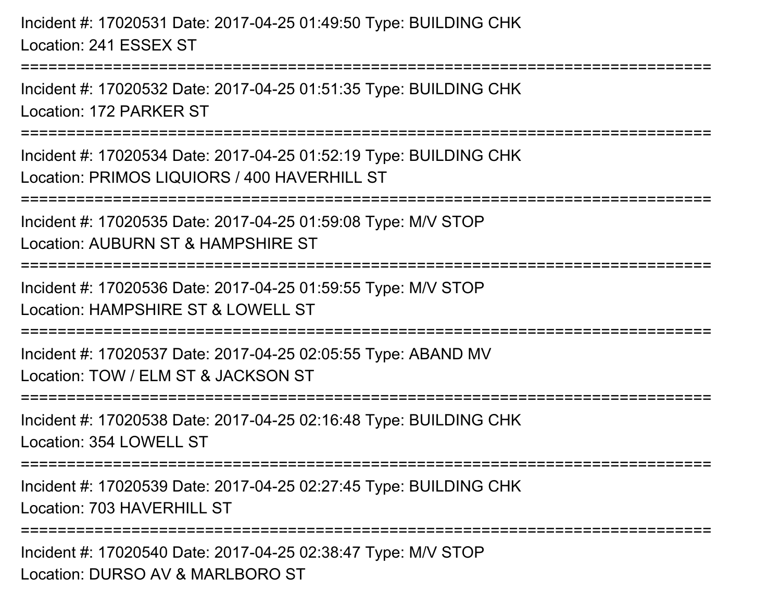Incident #: 17020531 Date: 2017-04-25 01:49:50 Type: BUILDING CHKLocation: 241 ESSEX ST

===========================================================================

Incident #: 17020532 Date: 2017-04-25 01:51:35 Type: BUILDING CHKLocation: 172 PARKER ST

===========================================================================

Incident #: 17020534 Date: 2017-04-25 01:52:19 Type: BUILDING CHKLocation: PRIMOS LIQUIORS / 400 HAVERHILL ST

===========================================================================

Incident #: 17020535 Date: 2017-04-25 01:59:08 Type: M/V STOP

Location: AUBURN ST & HAMPSHIRE ST

===========================================================================

Incident #: 17020536 Date: 2017-04-25 01:59:55 Type: M/V STOPLocation: HAMPSHIRF ST & LOWELL ST

===========================================================================

Incident #: 17020537 Date: 2017-04-25 02:05:55 Type: ABAND MVLocation: TOW / ELM ST & JACKSON ST

===========================================================================

Incident #: 17020538 Date: 2017-04-25 02:16:48 Type: BUILDING CHKLocation: 354 LOWELL ST

===========================================================================

Incident #: 17020539 Date: 2017-04-25 02:27:45 Type: BUILDING CHKLocation: 703 HAVERHILL ST

=========================

Incident #: 17020540 Date: 2017-04-25 02:38:47 Type: M/V STOPLocation: DURSO AV & MARI BORO ST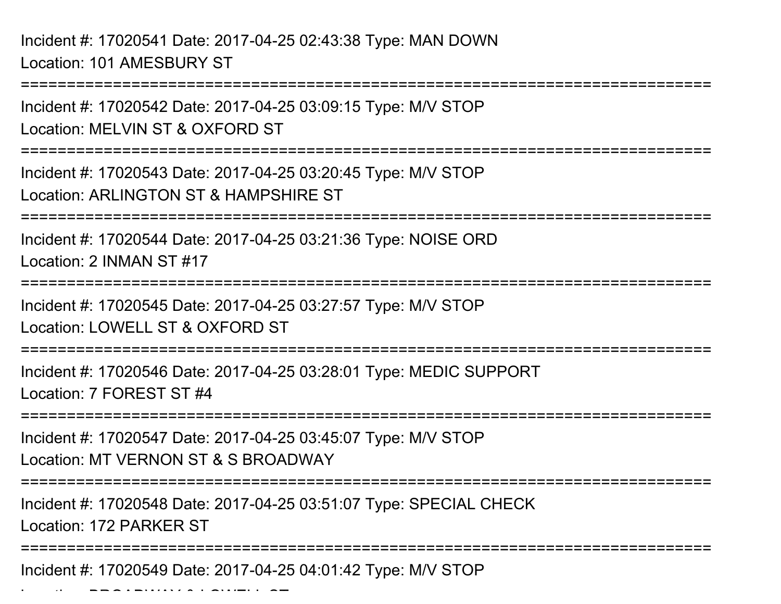Incident #: 17020541 Date: 2017-04-25 02:43:38 Type: MAN DOWNLocation: 101 AMESBURY ST

Location: BROADWAY & LOWELL ST

===========================================================================Incident #: 17020542 Date: 2017-04-25 03:09:15 Type: M/V STOPLocation: MELVIN ST & OXFORD ST===========================================================================Incident #: 17020543 Date: 2017-04-25 03:20:45 Type: M/V STOPLocation: ARLINGTON ST & HAMPSHIRE ST===========================================================================Incident #: 17020544 Date: 2017-04-25 03:21:36 Type: NOISE ORDLocation: 2 INMAN ST #17===========================================================================Incident #: 17020545 Date: 2017-04-25 03:27:57 Type: M/V STOPLocation: LOWELL ST & OXFORD ST===========================================================================Incident #: 17020546 Date: 2017-04-25 03:28:01 Type: MEDIC SUPPORTLocation: 7 FOREST ST #4===========================================================================Incident #: 17020547 Date: 2017-04-25 03:45:07 Type: M/V STOPLocation: MT VERNON ST & S BROADWAY===========================================================================Incident #: 17020548 Date: 2017-04-25 03:51:07 Type: SPECIAL CHECKLocation: 172 PARKER ST===========================================================================Incident #: 17020549 Date: 2017-04-25 04:01:42 Type: M/V STOP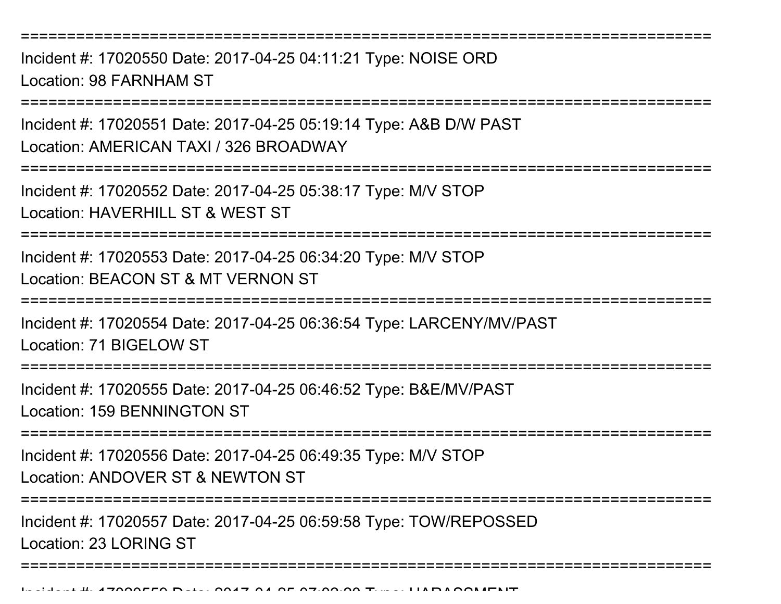===========================================================================

Incident #: 17020550 Date: 2017-04-25 04:11:21 Type: NOISE ORDLocation: 98 FARNHAM ST

===========================================================================

Incident #: 17020551 Date: 2017-04-25 05:19:14 Type: A&B D/W PASTLocation: AMERICAN TAXI / 326 BROADWAY

===========================================================================

Incident #: 17020552 Date: 2017-04-25 05:38:17 Type: M/V STOPLocation: HAVERHILL ST & WEST ST

===========================================================================

Incident #: 17020553 Date: 2017-04-25 06:34:20 Type: M/V STOPLocation: BEACON ST & MT VERNON ST

===========================================================================

Incident #: 17020554 Date: 2017-04-25 06:36:54 Type: LARCENY/MV/PAST

Location: 71 BIGELOW ST

===========================================================================

Incident #: 17020555 Date: 2017-04-25 06:46:52 Type: B&E/MV/PASTLocation: 159 BENNINGTON ST

===========================================================================

Incident #: 17020556 Date: 2017-04-25 06:49:35 Type: M/V STOPLocation: ANDOVER ST & NEWTON ST

===========================================================================

Incident #: 17020557 Date: 2017-04-25 06:59:58 Type: TOW/REPOSSEDLocation: 23 LORING ST

===========================================================================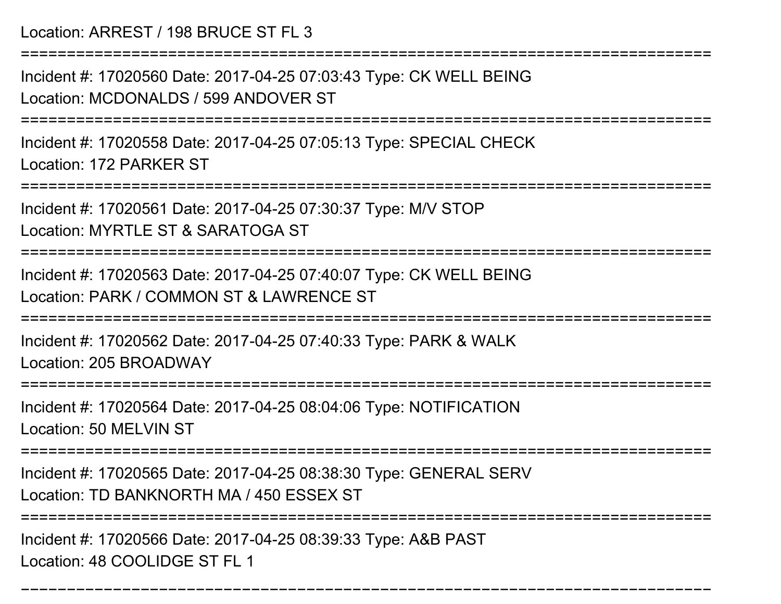Location: ARREST / 198 BRUCE ST FL 3

===========================================================================

Incident #: 17020560 Date: 2017-04-25 07:03:43 Type: CK WELL BEINGLocation: MCDONALDS / 599 ANDOVER ST

===========================================================================

Incident #: 17020558 Date: 2017-04-25 07:05:13 Type: SPECIAL CHECKLocation: 172 PARKER ST

===========================================================================

Incident #: 17020561 Date: 2017-04-25 07:30:37 Type: M/V STOP

Location: MYRTLE ST & SARATOGA ST

===========================================================================

Incident #: 17020563 Date: 2017-04-25 07:40:07 Type: CK WELL BEINGLocation: PARK / COMMON ST & LAWRENCE ST

===========================================================================

Incident #: 17020562 Date: 2017-04-25 07:40:33 Type: PARK & WALKLocation: 205 BROADWAY

===========================================================================

Incident #: 17020564 Date: 2017-04-25 08:04:06 Type: NOTIFICATIONLocation: 50 MELVIN ST

===========================================================================

Incident #: 17020565 Date: 2017-04-25 08:38:30 Type: GENERAL SERV

Location: TD BANKNORTH MA / 450 ESSEX ST

=========================

===========================================================================

Incident #: 17020566 Date: 2017-04-25 08:39:33 Type: A&B PASTLocation: 48 COOLIDGE ST FL 1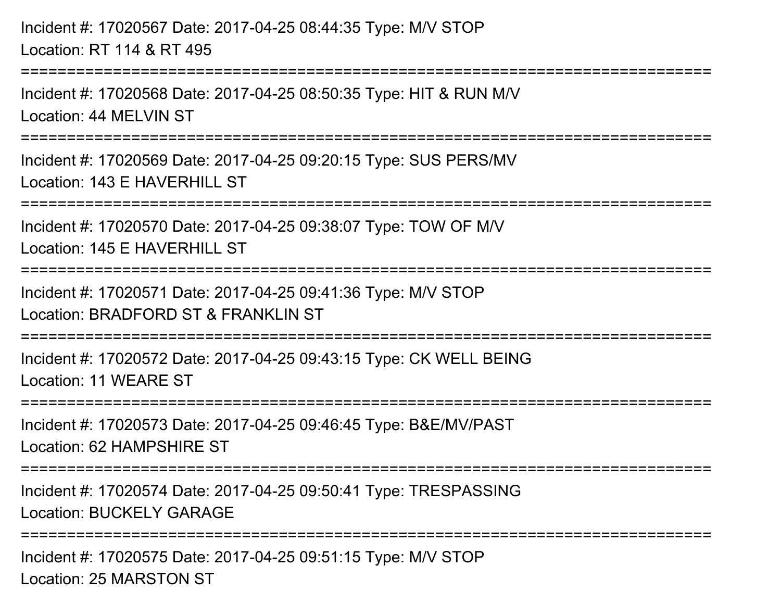Incident #: 17020567 Date: 2017-04-25 08:44:35 Type: M/V STOPLocation: RT 114 & RT 495===========================================================================Incident #: 17020568 Date: 2017-04-25 08:50:35 Type: HIT & RUN M/VLocation: 44 MELVIN ST===========================================================================Incident #: 17020569 Date: 2017-04-25 09:20:15 Type: SUS PERS/MVLocation: 143 F HAVERHILL ST ===========================================================================Incident #: 17020570 Date: 2017-04-25 09:38:07 Type: TOW OF M/VLocation: 145 F HAVERHILL ST ===========================================================================Incident #: 17020571 Date: 2017-04-25 09:41:36 Type: M/V STOPLocation: BRADFORD ST & FRANKLIN ST===========================================================================Incident #: 17020572 Date: 2017-04-25 09:43:15 Type: CK WELL BEINGLocation: 11 WEARE ST===========================================================================Incident #: 17020573 Date: 2017-04-25 09:46:45 Type: B&E/MV/PASTLocation: 62 HAMPSHIRE ST===========================================================================Incident #: 17020574 Date: 2017-04-25 09:50:41 Type: TRESPASSINGLocation: BUCKELY GARAGE===========================================================================Incident #: 17020575 Date: 2017-04-25 09:51:15 Type: M/V STOPLocation: 25 MARSTON ST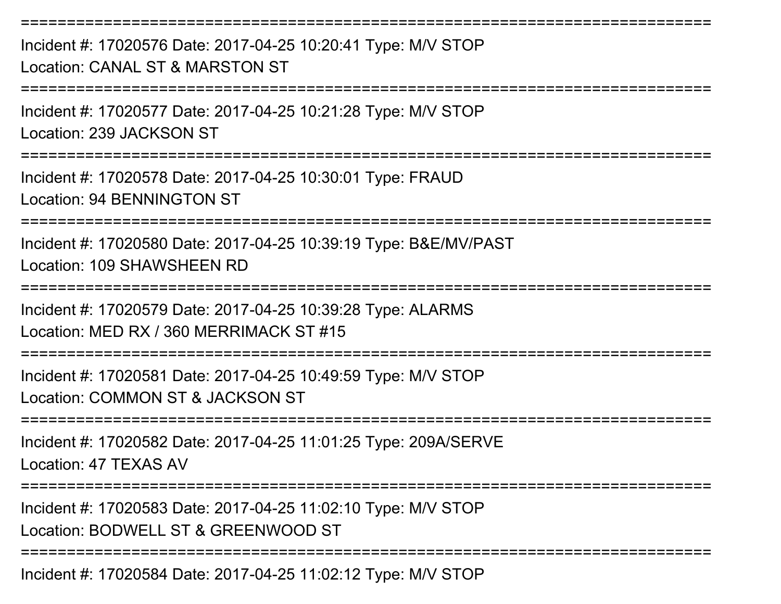===========================================================================Incident #: 17020576 Date: 2017-04-25 10:20:41 Type: M/V STOPLocation: CANAL ST & MARSTON ST===========================================================================Incident #: 17020577 Date: 2017-04-25 10:21:28 Type: M/V STOPLocation: 239 JACKSON ST===========================================================================Incident #: 17020578 Date: 2017-04-25 10:30:01 Type: FRAUDLocation: 94 BENNINGTON ST===========================================================================Incident #: 17020580 Date: 2017-04-25 10:39:19 Type: B&E/MV/PASTLocation: 109 SHAWSHEEN RD ===========================================================================Incident #: 17020579 Date: 2017-04-25 10:39:28 Type: ALARMSLocation: MED RX / 360 MERRIMACK ST #15===========================================================================Incident #: 17020581 Date: 2017-04-25 10:49:59 Type: M/V STOPLocation: COMMON ST & JACKSON ST===========================================================================Incident #: 17020582 Date: 2017-04-25 11:01:25 Type: 209A/SERVELocation: 47 TEXAS AV===========================================================================Incident #: 17020583 Date: 2017-04-25 11:02:10 Type: M/V STOPLocation: BODWELL ST & GREENWOOD ST===========================================================================Incident #: 17020584 Date: 2017-04-25 11:02:12 Type: M/V STOP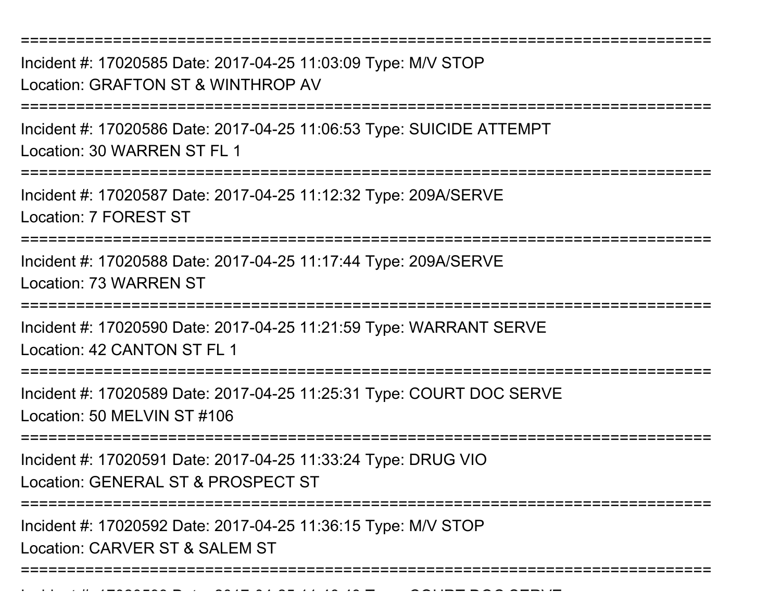Incident #: 17020585 Date: 2017-04-25 11:03:09 Type: M/V STOPLocation: GRAFTON ST & WINTHROP AV

===========================================================================

===========================================================================

Incident #: 17020586 Date: 2017-04-25 11:06:53 Type: SUICIDE ATTEMPTLocation: 30 WARREN ST FL 1

===========================================================================

Incident #: 17020587 Date: 2017-04-25 11:12:32 Type: 209A/SERVELocation: 7 FOREST ST

===========================================================================

Incident #: 17020588 Date: 2017-04-25 11:17:44 Type: 209A/SERVELocation: 73 WARREN ST

===========================================================================

Incident #: 17020590 Date: 2017-04-25 11:21:59 Type: WARRANT SERVELocation: 42 CANTON ST FL 1

===========================================================================

Incident #: 17020589 Date: 2017-04-25 11:25:31 Type: COURT DOC SERVELocation: 50 MELVIN ST #106

===========================================================================

Incident #: 17020591 Date: 2017-04-25 11:33:24 Type: DRUG VIO

Location: GENERAL ST & PROSPECT ST

===========================================================================

Incident #: 17020592 Date: 2017-04-25 11:36:15 Type: M/V STOP

Location: CARVER ST & SALEM ST

Incident #: 17020593 Date: 2017

===========================================================================

<sup>04</sup> 25 11:46:43 Type: COURT DOC SERVE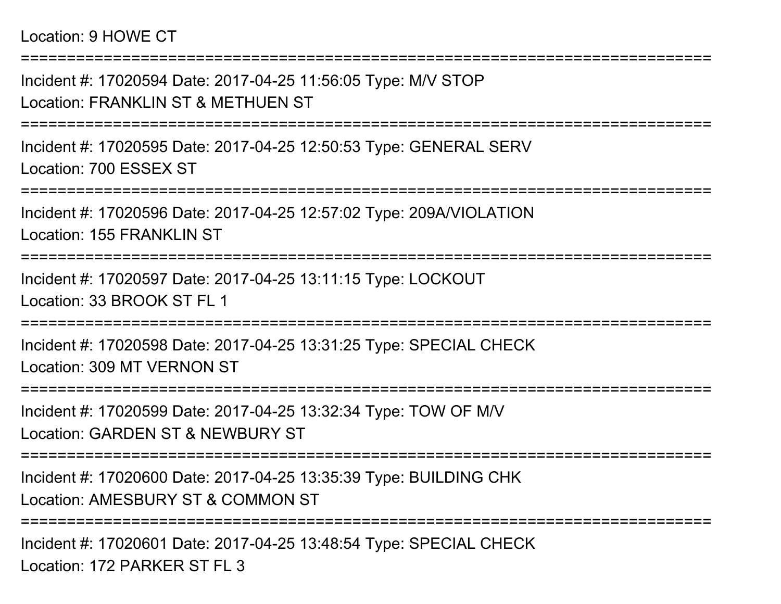## Location: 9 HOWE CT

===========================================================================Incident #: 17020594 Date: 2017-04-25 11:56:05 Type: M/V STOPLocation: FRANKLIN ST & METHUEN ST===========================================================================Incident #: 17020595 Date: 2017-04-25 12:50:53 Type: GENERAL SERVLocation: 700 ESSEX ST===========================================================================Incident #: 17020596 Date: 2017-04-25 12:57:02 Type: 209A/VIOLATIONLocation: 155 FRANKLIN ST ===========================================================================Incident #: 17020597 Date: 2017-04-25 13:11:15 Type: LOCKOUTLocation: 33 BROOK ST FL 1===========================================================================Incident #: 17020598 Date: 2017-04-25 13:31:25 Type: SPECIAL CHECKLocation: 309 MT VERNON ST===========================================================================Incident #: 17020599 Date: 2017-04-25 13:32:34 Type: TOW OF M/VLocation: GARDEN ST & NEWBURY ST===========================================================================Incident #: 17020600 Date: 2017-04-25 13:35:39 Type: BUILDING CHKLocation: AMESBURY ST & COMMON ST===========================================================================

Incident #: 17020601 Date: 2017-04-25 13:48:54 Type: SPECIAL CHECKLocation: 172 PARKER ST FL 3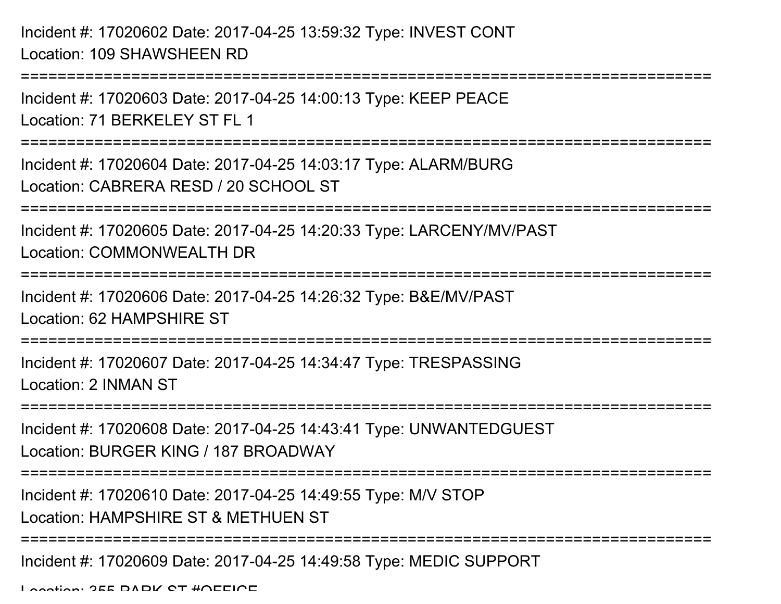Incident #: 17020603 Date: 2017-04-25 14:00:13 Type: KEEP PEACELocation: 71 BERKELEY ST FL 1

===========================================================================

============================

Incident #: 17020604 Date: 2017-04-25 14:03:17 Type: ALARM/BURGLocation: CABRERA RESD / 20 SCHOOL ST

===========================================================================

Incident #: 17020605 Date: 2017-04-25 14:20:33 Type: LARCENY/MV/PASTLocation: COMMONWEALTH DR

===========================================================================

Incident #: 17020606 Date: 2017-04-25 14:26:32 Type: B&E/MV/PAST

Location: 62 HAMPSHIRE ST

===========================================================================

Incident #: 17020607 Date: 2017-04-25 14:34:47 Type: TRESPASSINGLocation: 2 INMAN ST

===========================================================================

Incident #: 17020608 Date: 2017-04-25 14:43:41 Type: UNWANTEDGUESTLocation: BURGER KING / 187 BROADWAY

===========================================================================

Incident #: 17020610 Date: 2017-04-25 14:49:55 Type: M/V STOP

Location: HAMPSHIRE ST & METHUEN ST

===========================================================================

Incident #: 17020609 Date: 2017-04-25 14:49:58 Type: MEDIC SUPPORT

Location: 255 DADK CT #OFFICE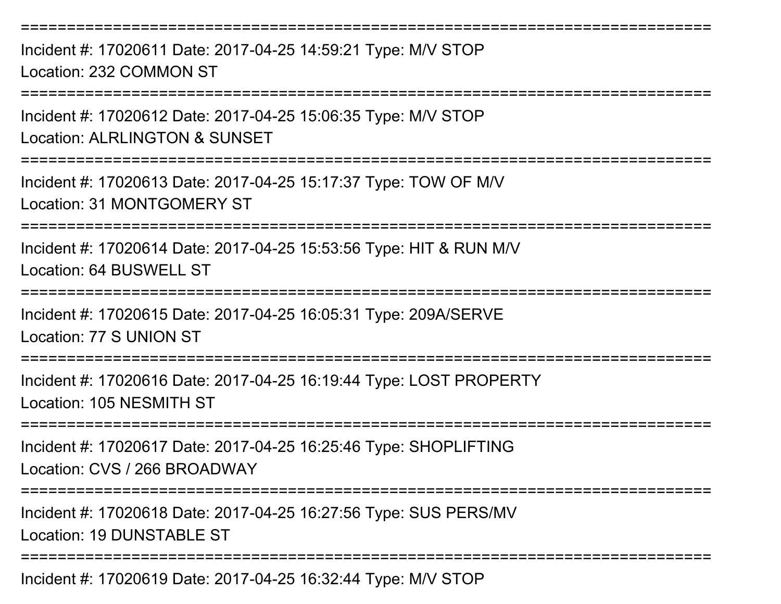===========================================================================

Incident #: 17020611 Date: 2017-04-25 14:59:21 Type: M/V STOPLocation: 232 COMMON ST

===========================================================================

Incident #: 17020612 Date: 2017-04-25 15:06:35 Type: M/V STOP

Location: ALRLINGTON & SUNSET

===========================================================================

Incident #: 17020613 Date: 2017-04-25 15:17:37 Type: TOW OF M/VLocation: 31 MONTGOMERY ST

===========================================================================

Incident #: 17020614 Date: 2017-04-25 15:53:56 Type: HIT & RUN M/VLocation: 64 BUSWELL ST

===========================================================================

Incident #: 17020615 Date: 2017-04-25 16:05:31 Type: 209A/SERVELocation: 77 S UNION ST

===========================================================================

Incident #: 17020616 Date: 2017-04-25 16:19:44 Type: LOST PROPERTYLocation: 105 NESMITH ST

===========================================================================

Incident #: 17020617 Date: 2017-04-25 16:25:46 Type: SHOPLIFTINGLocation: CVS / 266 BROADWAY

===========================================================================

Incident #: 17020618 Date: 2017-04-25 16:27:56 Type: SUS PERS/MVLocation: 19 DUNSTABLE ST

===========================================================================

Incident #: 17020619 Date: 2017-04-25 16:32:44 Type: M/V STOP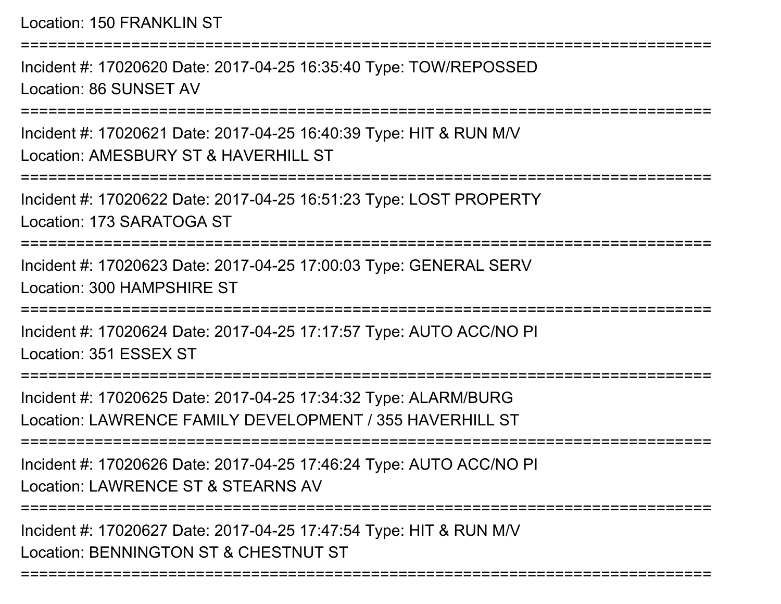Location: 150 FRANKLIN ST

===========================================================================Incident #: 17020620 Date: 2017-04-25 16:35:40 Type: TOW/REPOSSEDLocation: 86 SUNSET AV===========================================================================Incident #: 17020621 Date: 2017-04-25 16:40:39 Type: HIT & RUN M/V

Location: AMESBURY ST & HAVERHILL ST

===========================================================================

Incident #: 17020622 Date: 2017-04-25 16:51:23 Type: LOST PROPERTYLocation: 173 SARATOGA ST

===========================================================================

Incident #: 17020623 Date: 2017-04-25 17:00:03 Type: GENERAL SERVLocation: 300 HAMPSHIRE ST

===========================================================================

Incident #: 17020624 Date: 2017-04-25 17:17:57 Type: AUTO ACC/NO PILocation: 351 ESSEX ST

========================

Incident #: 17020625 Date: 2017-04-25 17:34:32 Type: ALARM/BURGLocation: LAWRENCE FAMILY DEVELOPMENT / 355 HAVERHILL ST

===========================================================================

Incident #: 17020626 Date: 2017-04-25 17:46:24 Type: AUTO ACC/NO PILocation: LAWRENCE ST & STEARNS AV

===========================================================================

===========================================================================

Incident #: 17020627 Date: 2017-04-25 17:47:54 Type: HIT & RUN M/VLocation: BENNINGTON ST & CHESTNUT ST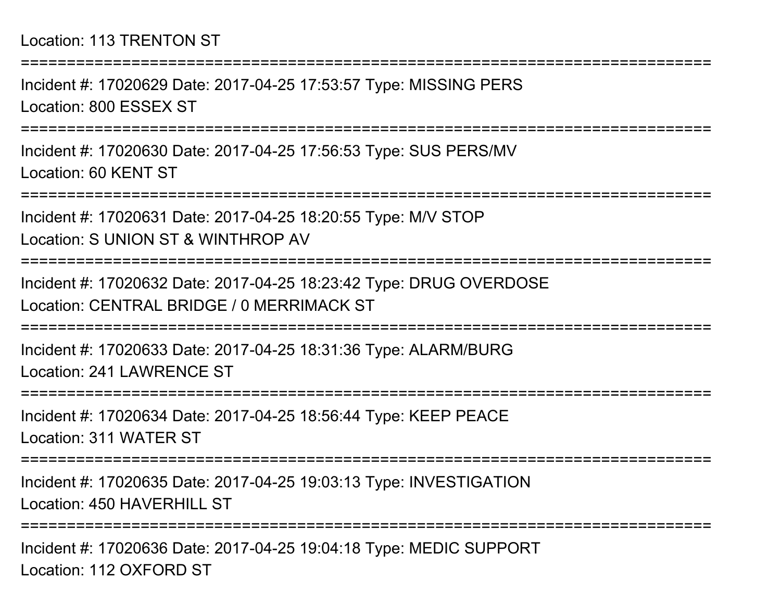## Location: 113 TRENTON ST

===========================================================================

Incident #: 17020629 Date: 2017-04-25 17:53:57 Type: MISSING PERSLocation: 800 ESSEX ST

===========================================================================

Incident #: 17020630 Date: 2017-04-25 17:56:53 Type: SUS PERS/MVLocation: 60 KENT ST

===========================================================================

Incident #: 17020631 Date: 2017-04-25 18:20:55 Type: M/V STOPLocation: S UNION ST & WINTHROP AV

**==============** 

Incident #: 17020632 Date: 2017-04-25 18:23:42 Type: DRUG OVERDOSELocation: CENTRAL BRIDGE / 0 MERRIMACK ST

===========================================================================

Incident #: 17020633 Date: 2017-04-25 18:31:36 Type: ALARM/BURGLocation: 241 LAWRENCE ST

===========================================================================

Incident #: 17020634 Date: 2017-04-25 18:56:44 Type: KEEP PEACELocation: 311 WATER ST

===========================================================================

Incident #: 17020635 Date: 2017-04-25 19:03:13 Type: INVESTIGATIONLocation: 450 HAVERHILL ST

===========================================================================

Incident #: 17020636 Date: 2017-04-25 19:04:18 Type: MEDIC SUPPORTLocation: 112 OXFORD ST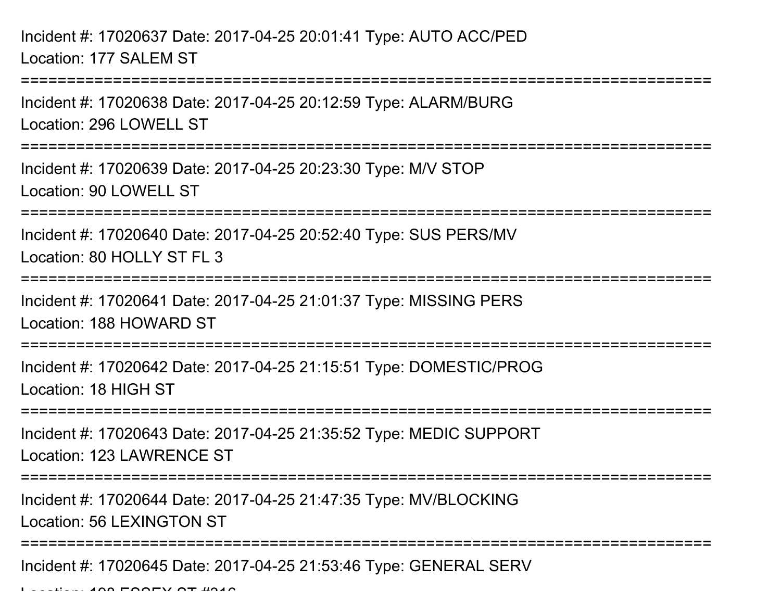Incident #: 17020637 Date: 2017-04-25 20:01:41 Type: AUTO ACC/PEDLocation: 177 SALEM ST

Incident #: 17020638 Date: 2017-04-25 20:12:59 Type: ALARM/BURGLocation: 296 LOWELL ST

===========================================================================

===========================================================================

Incident #: 17020639 Date: 2017-04-25 20:23:30 Type: M/V STOPLocation: 90 LOWELL ST

===========================================================================

Incident #: 17020640 Date: 2017-04-25 20:52:40 Type: SUS PERS/MVLocation: 80 HOLLY ST FL 3

===========================================================================

Incident #: 17020641 Date: 2017-04-25 21:01:37 Type: MISSING PERSLocation: 188 HOWARD ST

**====================** 

Incident #: 17020642 Date: 2017-04-25 21:15:51 Type: DOMESTIC/PROGLocation: 18 HIGH ST

===========================================================================

Incident #: 17020643 Date: 2017-04-25 21:35:52 Type: MEDIC SUPPORTLocation: 123 LAWRENCE ST

===========================================================================

Incident #: 17020644 Date: 2017-04-25 21:47:35 Type: MV/BLOCKINGLocation: 56 LEXINGTON ST

===========================================================================

Incident #: 17020645 Date: 2017-04-25 21:53:46 Type: GENERAL SERV